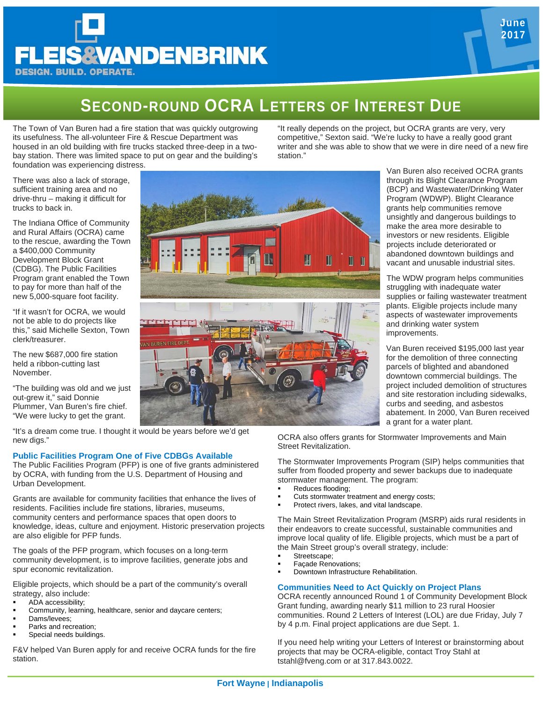# **EIS&VANDENBRINK DESIGN. BUILD. OPERATE.**

## **SECOND-ROUND OCRA LETTERS OF INTEREST DUE**

The Town of Van Buren had a fire station that was quickly outgrowing its usefulness. The all-volunteer Fire & Rescue Department was housed in an old building with fire trucks stacked three-deep in a twobay station. There was limited space to put on gear and the building's foundation was experiencing distress.

There was also a lack of storage, sufficient training area and no drive-thru – making it difficult for trucks to back in.

The Indiana Office of Community and Rural Affairs (OCRA) came to the rescue, awarding the Town a \$400,000 Community Development Block Grant (CDBG). The Public Facilities Program grant enabled the Town to pay for more than half of the new 5,000-square foot facility.

"If it wasn't for OCRA, we would not be able to do projects like this," said Michelle Sexton, Town clerk/treasurer.

The new \$687,000 fire station held a ribbon-cutting last November.

"The building was old and we just out-grew it," said Donnie Plummer, Van Buren's fire chief. "We were lucky to get the grant.



"It's a dream come true. I thought it would be years before we'd get new digs."

#### **Public Facilities Program One of Five CDBGs Available**

The Public Facilities Program (PFP) is one of five grants administered by OCRA, with funding from the U.S. Department of Housing and Urban Development.

Grants are available for community facilities that enhance the lives of residents. Facilities include fire stations, libraries, museums, community centers and performance spaces that open doors to knowledge, ideas, culture and enjoyment. Historic preservation projects are also eligible for PFP funds.

The goals of the PFP program, which focuses on a long-term community development, is to improve facilities, generate jobs and spur economic revitalization.

Eligible projects, which should be a part of the community's overall strategy, also include:

- ADA accessibility;
- Community, learning, healthcare, senior and daycare centers;
- Dams/levees:
- Parks and recreation;
- Special needs buildings.

F&V helped Van Buren apply for and receive OCRA funds for the fire station.

"It really depends on the project, but OCRA grants are very, very competitive," Sexton said. "We're lucky to have a really good grant writer and she was able to show that we were in dire need of a new fire station."

> Van Buren also received OCRA grants through its Blight Clearance Program (BCP) and Wastewater/Drinking Water Program (WDWP). Blight Clearance grants help communities remove unsightly and dangerous buildings to make the area more desirable to investors or new residents. Eligible projects include deteriorated or abandoned downtown buildings and vacant and unusable industrial sites.

The WDW program helps communities struggling with inadequate water supplies or failing wastewater treatment plants. Eligible projects include many aspects of wastewater improvements and drinking water system improvements.

Van Buren received \$195,000 last year for the demolition of three connecting parcels of blighted and abandoned downtown commercial buildings. The project included demolition of structures and site restoration including sidewalks, curbs and seeding, and asbestos abatement. In 2000, Van Buren received a grant for a water plant.

OCRA also offers grants for Stormwater Improvements and Main Street Revitalization.

The Stormwater Improvements Program (SIP) helps communities that suffer from flooded property and sewer backups due to inadequate stormwater management. The program:

- Reduces flooding;
- Cuts stormwater treatment and energy costs;
- Protect rivers, lakes, and vital landscape.

The Main Street Revitalization Program (MSRP) aids rural residents in their endeavors to create successful, sustainable communities and improve local quality of life. Eligible projects, which must be a part of the Main Street group's overall strategy, include:

- Streetscape;
- Façade Renovations;
- Downtown Infrastructure Rehabilitation.

#### **Communities Need to Act Quickly on Project Plans**

OCRA recently announced Round 1 of Community Development Block Grant funding, awarding nearly \$11 million to 23 rural Hoosier communities. Round 2 Letters of Interest (LOL) are due Friday, July 7 by 4 p.m. Final project applications are due Sept. 1.

If you need help writing your Letters of Interest or brainstorming about projects that may be OCRA-eligible, contact Troy Stahl at tstahl@fveng.com or at 317.843.0022.